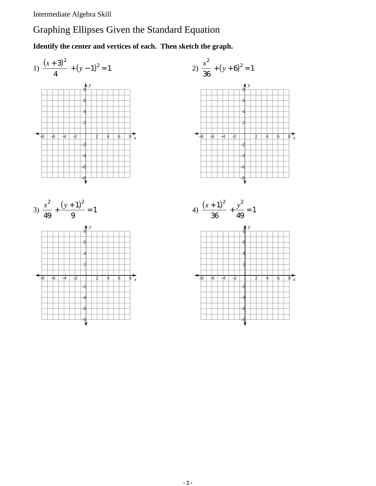Intermediate Algebra Skill

## Graphing Ellipses Given the Standard Equation

**Identify the center and vertices of each. Then sketch the graph.**



*x*

*x*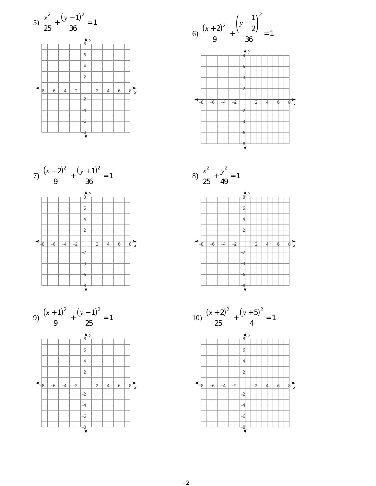